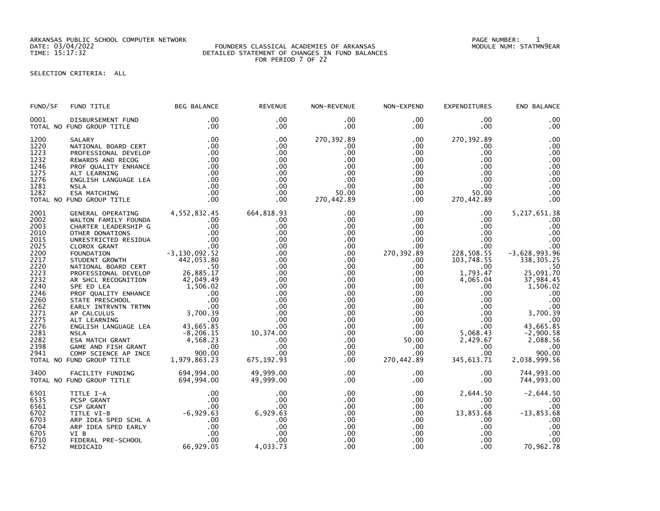ARKANSAS PUBLIC SCHOOL COMPUTER NETWORK PAGE NUMBER: 1

### DATE: 03/04/2022 FOUNDERS CLASSICAL ACADEMIES OF ARKANSAS MODULE NUM: STATMN9EAR TIME: 15:17:32 DETAILED STATEMENT OF CHANGES IN FUND BALANCES FOR PERIOD 7 OF 22

SELECTION CRITERIA: ALL

| FUND/SF                              | FUND TITLE                                                                                                                                                                                                                                                               | <b>BEG BALANCE</b> | <b>REVENUE</b>                                        | NON-REVENUE                                                 | NON-EXPEND                                       | <b>EXPENDITURES</b>                                                  | END BALANCE                                      |
|--------------------------------------|--------------------------------------------------------------------------------------------------------------------------------------------------------------------------------------------------------------------------------------------------------------------------|--------------------|-------------------------------------------------------|-------------------------------------------------------------|--------------------------------------------------|----------------------------------------------------------------------|--------------------------------------------------|
| 0001                                 | DISBURSEMENT FUND<br>TOTAL NO FUND GROUP TITLE                                                                                                                                                                                                                           | .00<br>.00         | .00<br>$.00 \,$                                       | $.00 \,$<br>$.00 \,$                                        | .00<br>$.00 \,$                                  | .00<br>$.00 \times$                                                  | .00<br>.00                                       |
| 1200<br>1220<br>1223<br>1232         |                                                                                                                                                                                                                                                                          |                    | .00<br>.00<br>$.00 \,$<br>$.00 \,$                    | 270, 392.89<br>$.00 \,$<br>.00<br>.00                       | $.00 \,$<br>$.00 \,$<br>$.00 \,$<br>.00          | 270, 392.89<br>$.00 \,$<br>$.00 \,$<br>$.00 \,$                      | .00<br>.00<br>.00<br>.00                         |
| 1246<br>1275<br>1276<br>1281         |                                                                                                                                                                                                                                                                          |                    | $.00 \,$<br>.00<br>$.00 \,$<br>.00                    | $.00 \,$<br>$.00 \,$<br>$.00 \,$<br>.00                     | $.00\,$<br>.00<br>.00<br>.00                     | $.00 \,$<br>.00<br>$.00 \cdot$<br>.00                                | .00<br>.00<br>.00<br>.00                         |
| 1282                                 | TOTAL NO FUND GROUP TITLE                                                                                                                                                                                                                                                |                    | $.00 \,$<br>$.00 \,$                                  | 50.00<br>270,442.89                                         | .00<br>$.00 \,$                                  | 50.00<br>270,442.89                                                  | .00<br>.00                                       |
| 2001<br>2002<br>2003<br>2010<br>2015 |                                                                                                                                                                                                                                                                          |                    | 664,818.93<br>$.00 \,$<br>$.00 \,$<br>$.00 \,$<br>.00 | $.00 \,$<br>.00<br>$.00 \,$<br>$.00 \,$<br>$.00 \,$         | $.00 \,$<br>$.00\,$<br>$.00\,$<br>.00<br>$.00\,$ | $.00 \cdot$<br>$.00 \,$<br>$.00 \,$<br>$.00 \,$<br>$.00 \,$          | 5, 217, 651.38<br>.00<br>.00<br>.00<br>.00       |
| 2025<br>2200<br>2217<br>2220         | OTHER DONATIONS<br>UNRESTRICTED RESIDUA .00<br>CLOROX GRANT .00<br>FOUNDATION .00<br>STUDENT GROWTH .00<br>NATIONAL BOARD CERT 442,053.80<br>NATIONAL BOARD CERT                                                                                                         |                    | .00<br>.00<br>.00.<br>.00                             | .00<br>$.00 \,$<br>$.00 \,$<br>$.00 \,$                     | $.00 \,$<br>270,392.89<br>$.00 \,$<br>$.00 \,$   | $.00$<br>$.00$<br>228, 508.55<br>103, 748.55<br>$.00 \,$             | .00<br>$-3,628,993.96$<br>338, 305.25<br>.50     |
| 2223<br>2232<br>2240<br>2246<br>2260 | PROFESSIONAL DEVELOP<br>PROFESSIONAL DEVELOP 26,885.17<br>AR SHCL RECOGNITION 42,049.49<br>SPE ED LEA<br>PROF QUALITY ENHANCE .00<br>STATE PRESCHOOL .00<br>STATE PRESCHOOL .00<br>STATE PRESCHOOL .00<br>ALT LEARNING 3,700.39<br>ALT LEARNING 3,700.39<br>ALT LEARNING | 26,885.17          | .00<br>.00<br>.00<br>.00<br>.00                       | $.00 \,$<br>$.00 \,$<br>$.00 \cdot$<br>$.00 \,$<br>$.00 \,$ | $.00 \,$<br>$.00 \,$<br>.00<br>.00               | 1,793.47<br>4,065.04<br>$.00 \cdot$<br>.00<br>.00                    | 25,091.70<br>37,984.45<br>1,506.02<br>.00<br>.00 |
| 2262<br>2271<br>2275<br>2276         |                                                                                                                                                                                                                                                                          |                    | $.00 \,$<br>.00<br>.00<br>.00                         | $.00 \cdot$<br>$.00 \,$<br>$.00 \,$<br>$.00 \,$             | $.00\,$                                          | $00$<br>$00$<br>.00<br>$.00$<br>$.00$<br>.00<br>$.00 \,$<br>$.00 \,$ | .00<br>3,700.39<br>.00<br>43,665.85              |
| 2281<br>2282<br>2398<br>2941         |                                                                                                                                                                                                                                                                          |                    | 10,374.00<br>.00<br>.00<br>.00                        | $.00 \,$<br>$.00 \,$<br>.00<br>.00                          | $.00 \,$<br>50.00<br>.00<br>.00 <sub>1</sub>     | 5,068.43<br>2,429.67<br>.00<br>$.00 \,$                              | $-2,900.58$<br>2,088.56<br>.00<br>900.00         |
|                                      | TOTAL NO FUND GROUP TITLE                                                                                                                                                                                                                                                |                    | 675,192.93                                            | .00                                                         | 270,442.89                                       | 345,613.71                                                           | 2,038,999.56                                     |
| 3400                                 | FACILITY FUNDING<br>TOTAL NO FUND GROUP TITLE 694,994.00                                                                                                                                                                                                                 | 694,994.00         | 49,999.00<br>49,999.00                                | $.00 \,$<br>$.00 \,$                                        | $.00 \,$<br>.00                                  | .00<br>$.00 \,$                                                      | 744,993.00<br>744,993.00                         |
| 6501<br>6535<br>6561                 |                                                                                                                                                                                                                                                                          |                    | $.00 \,$<br>.00<br>.00                                | $.00 \,$<br>.00<br>$.00 \,$                                 | $.00 \cdot$<br>$.00 \,$<br>$.00 \,$              | 2,644.50<br>.00<br>$.00 \,$                                          | $-2,644.50$<br>.00<br>.00                        |
| 6702<br>6703<br>6704<br>6705         | TITLE I-A<br>PCSP GRANT 00<br>CSP GRANT 00<br>CSP GRANT 00<br>TITLE VI-B<br>ARP IDEA SPED SCHL A<br>ARP IDEA SPED EARLY 00<br>VI B 00<br>VI B 00<br>FEDERAL PRE-SCHOOL 00<br>MFDICAID 66,929.05                                                                          |                    | 6,929.63<br>.00<br>.00<br>.00                         | $.00 \cdot$<br>$.00 \,$<br>$.00 \,$<br>$.00 \,$             | $.00 \,$<br>$.00 \,$<br>$.00 \cdot$<br>$.00\,$   | 13,853.68<br>$.00 \,$<br>$.00 \,$<br>$.00 \,$                        | $-13,853.68$<br>.00<br>.00<br>.00                |
| 6710<br>6752                         |                                                                                                                                                                                                                                                                          |                    | .00<br>4,033.73                                       | $.00 \,$<br>$.00 \,$                                        | $.00 \,$<br>$.00 \,$                             | $.00 \,$<br>.00                                                      | .00<br>70,962.78                                 |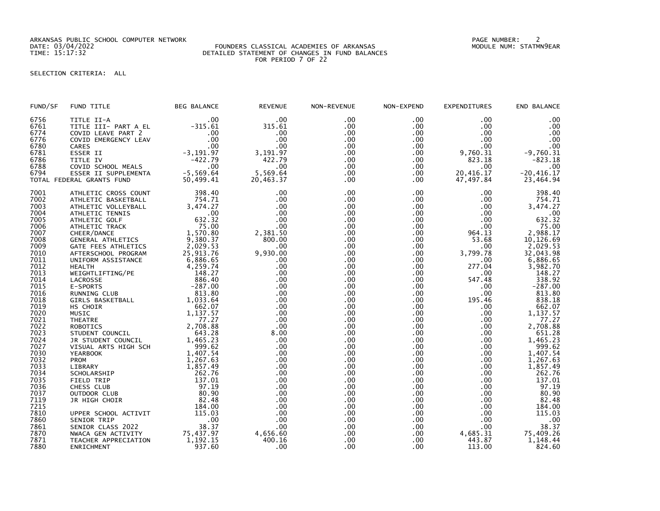ARKANSAS PUBLIC SCHOOL COMPUTER NETWORK PAGE NUMBER: 2

### DATE: 03/04/2022 FOUNDERS CLASSICAL ACADEMIES OF ARKANSAS MODULE NUM: STATMN9EAR TIME: 15:17:32 DETAILED STATEMENT OF CHANGES IN FUND BALANCES FOR PERIOD 7 OF 22

# SELECTION CRITERIA: ALL

| FUND/SF                      | FUND TITLE                                                                       | <b>BEG BALANCE</b>             | <b>REVENUE</b>              | NON-REVENUE              | NON-EXPEND                    | <b>EXPENDITURES</b>      | END BALANCE              |
|------------------------------|----------------------------------------------------------------------------------|--------------------------------|-----------------------------|--------------------------|-------------------------------|--------------------------|--------------------------|
| 6756<br>6761<br>6774<br>6776 | TITLE II-A<br>TITLE III- PART A EL<br>COVID LEAVE PART 2<br>COVID EMERGENCY LEAV | .00<br>$-315.61$<br>.00<br>.00 | .00<br>315.61<br>.00<br>.00 | .00<br>.00<br>.00<br>.00 | .00<br>.00<br>$.00 \,$<br>.00 | .00<br>.00<br>.00<br>.00 | .00<br>.00<br>.00<br>.00 |
| 6780                         | CARES                                                                            | .00                            | .00                         | .00                      | .00                           | .00                      | .00                      |
| 6781                         | ESSER II                                                                         | $-3, 191.97$                   | 3,191.97                    | .00                      | .00                           | 9,760.31                 | $-9,760.31$              |
| 6786                         | TITLE IV                                                                         | $-422.79$                      | 422.79                      | .00                      | .00                           | 823.18                   | $-823.18$                |
| 6788                         | COVID SCHOOL MEALS                                                               | .00                            | .00                         | .00                      | .00                           | .00                      | .00                      |
| 6794                         | ESSER II SUPPLEMENTA                                                             | $-5,569.64$                    | 5,569.64                    | .00                      | .00.                          | 20,416.17                | $-20, 416.17$            |
|                              | TOTAL FEDERAL GRANTS FUND                                                        | 50,499.41                      | 20,463.37                   | .00                      | .00                           | 47,497.84                | 23,464.94                |
| 7001                         | ATHLETIC CROSS COUNT                                                             | 398.40                         | .00                         | .00                      | .00                           | .00.                     | 398.40                   |
| 7002                         | ATHLETIC BASKETBALL                                                              | 754.71                         | .00                         | .00                      | .00.                          | .00                      | 754.71                   |
| 7003                         | ATHLETIC VOLLEYBALL                                                              | 3,474.27                       | .00                         | .00                      | $.00 \,$                      | .00                      | 3,474.27                 |
| 7004                         | ATHLETIC TENNIS                                                                  | .00                            | .00                         | .00                      | .00                           | .00                      | .00                      |
| 7005                         | ATHLETIC GOLF                                                                    | 632.32                         | .00                         | .00                      | .00                           | .00                      | 632.32                   |
| 7006                         | ATHLETIC TRACK                                                                   | 75.00                          | .00                         | .00                      | .00.                          | .00                      | 75.00                    |
| 7007                         | CHEER/DANCE                                                                      | 1,570.80                       | 2,381.50                    | .00                      | .00                           | 964.13                   | 2,988.17                 |
| 7008                         | GENERAL ATHLETICS                                                                | 9,380.37                       | 800.00                      | .00                      | .00                           | 53.68                    | 10,126.69                |
| 7009                         | GATE FEES ATHLETICS                                                              | 2,029.53                       | .00                         | .00                      | .00                           | .00.                     | 2,029.53                 |
| 7010<br>7011                 | AFTERSCHOOL PROGRAM                                                              | 25,913.76                      | 9,930.00<br>.00             | .00<br>.00               | .00.                          | 3,799.78                 | 32,043.98                |
| 7012                         | UNIFORM ASSISTANCE<br><b>HEALTH</b>                                              | 6,886.65<br>4,259.74           | .00                         | .00                      | .00.<br>.00                   | .00.<br>277.04           | 6,886.65<br>3,982.70     |
| 7013                         | WEIGHTLIFTING/PE                                                                 | 148.27                         | .00                         | .00                      | .00                           | .00                      | 148.27                   |
| 7014                         | LACROSSE                                                                         | 886.40                         | .00                         | .00                      | .00                           | 547.48                   | 338.92                   |
| 7015                         | E-SPORTS                                                                         | $-287.00$                      | .00                         | .00                      | .00                           | .00.                     | $-287.00$                |
| 7016                         | RUNNING CLUB                                                                     | 813.80                         | .00                         | .00                      | .00                           | .00                      | 813.80                   |
| 7018                         | <b>GIRLS BASKETBALL</b>                                                          | 1,033.64                       | .00.                        | .00.                     | .00                           | 195.46                   | 838.18                   |
| 7019                         | HS CHOIR                                                                         | 662.07                         | .00                         | .00                      | .00                           | .00                      | 662.07                   |
| 7020                         | MUSIC                                                                            | 1,137.57                       | .00                         | .00                      | .00                           | .00.                     | 1,137.57                 |
| 7021                         | <b>THEATRE</b>                                                                   | 77.27                          | .00                         | .00                      | .00                           | .00                      | 77.27                    |
| 7022                         | <b>ROBOTICS</b>                                                                  | 2,708.88                       | .00                         | .00                      | .00                           | .00                      | 2,708.88                 |
| 7023                         | STUDENT COUNCIL                                                                  | 643.28                         | 8.00                        | .00                      | .00                           | .00                      | 651.28                   |
| 7024                         | JR STUDENT COUNCIL                                                               | 1,465.23                       | .00                         | .00                      | .00.                          | $.00 \,$                 | 1,465.23                 |
| 7027                         | VISUAL ARTS HIGH SCH                                                             | 999.62                         | .00                         | .00                      | .00                           | .00                      | 999.62                   |
| 7030                         | <b>YEARBOOK</b>                                                                  | 1,407.54                       | .00                         | .00                      | .00 <sub>1</sub>              | .00                      | 1,407.54                 |
| 7032                         | PROM                                                                             | 1,267.63                       | .00                         | .00                      | .00                           | .00                      | 1,267.63                 |
| 7033                         | LIBRARY                                                                          | 1,857.49                       | .00                         | .00                      | .00                           | $.00 \,$                 | 1,857.49                 |
| 7034                         | SCHOLARSHIP                                                                      | 262.76                         | .00                         | .00                      | .00                           | .00.                     | 262.76                   |
| 7035                         | <b>FIELD TRIP</b>                                                                | 137.01                         | .00                         | .00                      | .00                           | .00                      | 137.01                   |
| 7036                         | CHESS CLUB                                                                       | 97.19                          | .00                         | .00                      | .00                           | .00                      | 97.19                    |
| 7037                         | OUTDOOR CLUB                                                                     | 80.90                          | .00                         | .00                      | .00                           | $.00 \,$                 | 80.90                    |
| 7119<br>7215                 | JR HIGH CHOIR                                                                    | 82.48<br>184.00                | .00                         | .00                      | .00                           | $.00 \,$                 | 82.48<br>184.00          |
| 7810                         | UPPER SCHOOL ACTIVIT                                                             | 115.03                         | .00<br>.00                  | .00<br>.00               | .00<br>$.00 \,$               | .00<br>.00               | 115.03                   |
| 7860                         | SENIOR TRIP                                                                      | $\ldots$ 00                    | .00                         | .00                      | .00                           | .00                      |                          |
| 7861                         | SENIOR CLASS 2022                                                                | 38.37                          | .00                         | .00                      | $.00 \,$                      | .00                      | .00<br>38.37             |
| 7870                         | NWACA GEN ACTIVITY                                                               |                                | 4,656.60                    | .00                      | .00                           | 4,685.31                 | 75,409.26                |
| 7871                         | TEACHER APPRECIATION                                                             | 75, 437.97<br>1, 192.15        | 400.16                      | .00                      | .00                           | 443.87                   | 1,148.44                 |
| 7880                         | ENRICHMENT                                                                       | 937.60                         | .00                         | .00                      | .00                           | 113.00                   | 824.60                   |